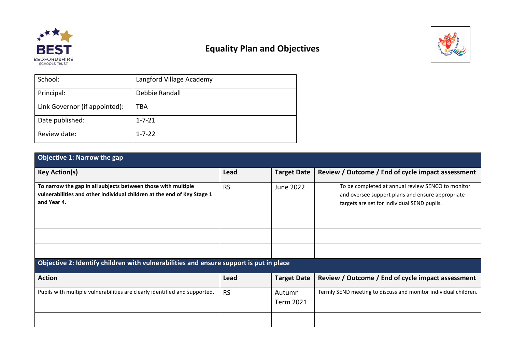

## **Equality Plan and Objectives**



| School:                       | Langford Village Academy |
|-------------------------------|--------------------------|
| Principal:                    | Debbie Randall           |
| Link Governor (if appointed): | TBA                      |
| Date published:               | $1 - 7 - 21$             |
| Review date:                  | $1 - 7 - 22$             |

## **Objective 1: Narrow the gap**

| <b>Key Action(s)</b>                                                                                                                                    | Lead      | <b>Target Date</b>  | Review / Outcome / End of cycle impact assessment                                                                                                    |  |
|---------------------------------------------------------------------------------------------------------------------------------------------------------|-----------|---------------------|------------------------------------------------------------------------------------------------------------------------------------------------------|--|
| To narrow the gap in all subjects between those with multiple<br>vulnerabilities and other individual children at the end of Key Stage 1<br>and Year 4. | <b>RS</b> | June 2022           | To be completed at annual review SENCO to monitor<br>and oversee support plans and ensure appropriate<br>targets are set for individual SEND pupils. |  |
|                                                                                                                                                         |           |                     |                                                                                                                                                      |  |
|                                                                                                                                                         |           |                     |                                                                                                                                                      |  |
| Objective 2: Identify children with vulnerabilities and ensure support is put in place                                                                  |           |                     |                                                                                                                                                      |  |
| <b>Action</b>                                                                                                                                           | Lead      | <b>Target Date</b>  | Review / Outcome / End of cycle impact assessment                                                                                                    |  |
| Pupils with multiple vulnerabilities are clearly identified and supported.                                                                              | <b>RS</b> | Autumn<br>Term 2021 | Termly SEND meeting to discuss and monitor individual children.                                                                                      |  |
|                                                                                                                                                         |           |                     |                                                                                                                                                      |  |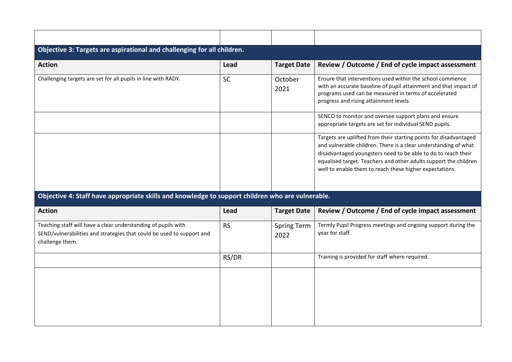| Objective 3: Targets are aspirational and challenging for all children.                                                                                   |           |                            |                                                                                                                                                                                                                                                                                                                                      |  |  |  |
|-----------------------------------------------------------------------------------------------------------------------------------------------------------|-----------|----------------------------|--------------------------------------------------------------------------------------------------------------------------------------------------------------------------------------------------------------------------------------------------------------------------------------------------------------------------------------|--|--|--|
| <b>Action</b>                                                                                                                                             | Lead      | <b>Target Date</b>         | Review / Outcome / End of cycle impact assessment                                                                                                                                                                                                                                                                                    |  |  |  |
| Challenging targets are set for all pupils in line with RADY.                                                                                             | <b>SC</b> | October<br>2021            | Ensure that interventions used within the school commence<br>with an accurate baseline of pupil attainment and that impact of<br>programs used can be measured in terms of accelerated<br>progress and rising attainment levels.                                                                                                     |  |  |  |
|                                                                                                                                                           |           |                            | SENCO to monitor and oversee support plans and ensure<br>appropriate targets are set for individual SEND pupils.                                                                                                                                                                                                                     |  |  |  |
|                                                                                                                                                           |           |                            | Targets are uplifted from their starting points for disadvantaged<br>and vulnerable children. There is a clear understanding of what<br>disadvantaged youngsters need to be able to do to reach their<br>equalised target. Teachers and other adults support the children<br>well to enable them to reach these higher expectations. |  |  |  |
| Objective 4: Staff have appropriate skills and knowledge to support children who are vulnerable.                                                          |           |                            |                                                                                                                                                                                                                                                                                                                                      |  |  |  |
| <b>Action</b>                                                                                                                                             | Lead      | <b>Target Date</b>         | Review / Outcome / End of cycle impact assessment                                                                                                                                                                                                                                                                                    |  |  |  |
| Teaching staff will have a clear understanding of pupils with<br>SEND/vulnerabilities and strategies that could be used to support and<br>challenge them. | <b>RS</b> | <b>Spring Term</b><br>2022 | Termly Pupil Progress meetings and ongoing support during the<br>year for staff.                                                                                                                                                                                                                                                     |  |  |  |

| <b>Action</b>                                                                                                                                             | Lead      | <b>Target Date</b>  | Review / Outcome / End of cycle impact assessment                                |
|-----------------------------------------------------------------------------------------------------------------------------------------------------------|-----------|---------------------|----------------------------------------------------------------------------------|
| Teaching staff will have a clear understanding of pupils with<br>SEND/vulnerabilities and strategies that could be used to support and<br>challenge them. | <b>RS</b> | Spring Term<br>2022 | Termly Pupil Progress meetings and ongoing support during the<br>year for staff. |
|                                                                                                                                                           | RS/DR     |                     | Training is provided for staff where required.                                   |
|                                                                                                                                                           |           |                     |                                                                                  |